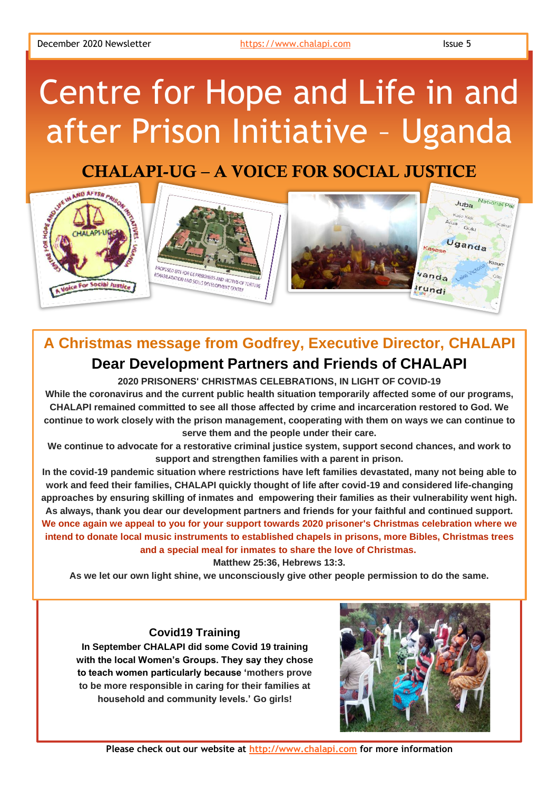# Centre for Hope and Life in and after Prison Initiative – Uganda

## CHALAPI-UG – A VOICE FOR SOCIAL JUSTICE



## **A Christmas message from Godfrey, Executive Director, CHALAPI Dear Development Partners and Friends of CHALAPI**

**2020 PRISONERS' CHRISTMAS CELEBRATIONS, IN LIGHT OF COVID-19**

**While the coronavirus and the current public health situation temporarily affected some of our programs, CHALAPI remained committed to see all those affected by crime and incarceration restored to God. We continue to work closely with the prison management, cooperating with them on ways we can continue to serve them and the people under their care.**

**We continue to advocate for a restorative criminal justice system, support second chances, and work to support and strengthen families with a parent in prison.**

**In the covid-19 pandemic situation where restrictions have left families devastated, many not being able to work and feed their families, CHALAPI quickly thought of life after covid-19 and considered life-changing approaches by ensuring skilling of inmates and empowering their families as their vulnerability went high. As always, thank you dear our development partners and friends for your faithful and continued support. We once again we appeal to you for your support towards 2020 prisoner's Christmas celebration where we intend to donate local music instruments to established chapels in prisons, more Bibles, Christmas trees and a special meal for inmates to share the love of Christmas.**

**Matthew 25:36, Hebrews 13:3.**

**As we let our own light shine, we unconsciously give other people permission to do the same.**

#### **Covid19 Training**

**In September CHALAPI did some Covid 19 training with the local Women's Groups. They say they chose**  Sincerely, **to teach women particularly because 'mothers prove**  to be more responsible in caring for their families at **household and community levels.'** Go girls! velo. oo gmail.



**Please check out our website at [http://www.chalapi.com](http://www.chalapi.com/) for more information**